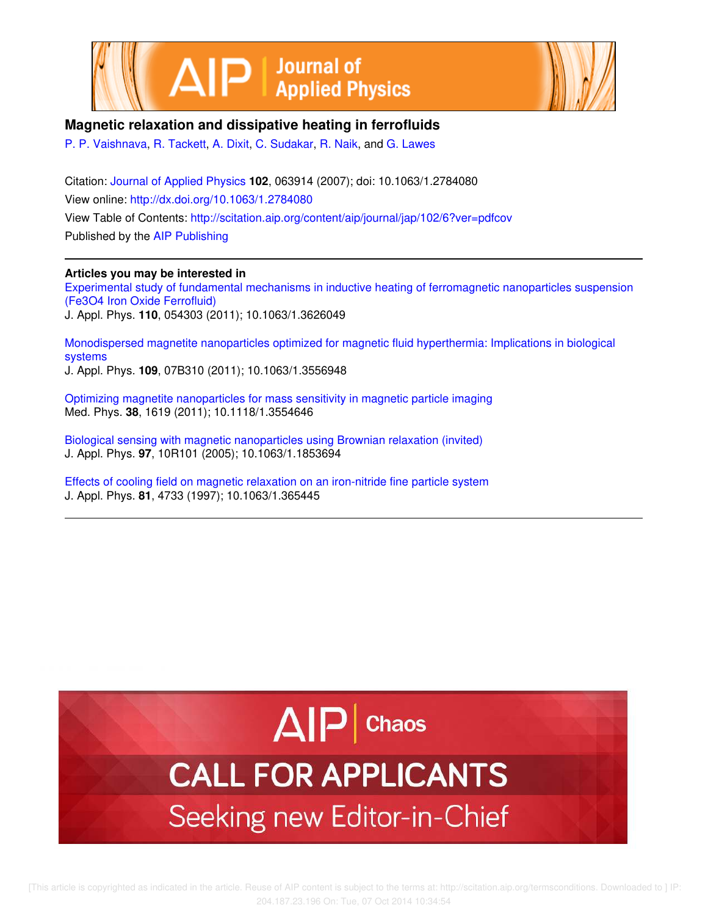



# **Magnetic relaxation and dissipative heating in ferrofluids**

P. P. Vaishnava, R. Tackett, A. Dixit, C. Sudakar, R. Naik, and G. Lawes

Citation: Journal of Applied Physics **102**, 063914 (2007); doi: 10.1063/1.2784080 View online: http://dx.doi.org/10.1063/1.2784080 View Table of Contents: http://scitation.aip.org/content/aip/journal/jap/102/6?ver=pdfcov Published by the AIP Publishing

# **Articles you may be interested in**

Experimental study of fundamental mechanisms in inductive heating of ferromagnetic nanoparticles suspension (Fe3O4 Iron Oxide Ferrofluid) J. Appl. Phys. **110**, 054303 (2011); 10.1063/1.3626049

Monodispersed magnetite nanoparticles optimized for magnetic fluid hyperthermia: Implications in biological systems J. Appl. Phys. **109**, 07B310 (2011); 10.1063/1.3556948

Optimizing magnetite nanoparticles for mass sensitivity in magnetic particle imaging Med. Phys. **38**, 1619 (2011); 10.1118/1.3554646

Biological sensing with magnetic nanoparticles using Brownian relaxation (invited) J. Appl. Phys. **97**, 10R101 (2005); 10.1063/1.1853694

Effects of cooling field on magnetic relaxation on an iron-nitride fine particle system J. Appl. Phys. **81**, 4733 (1997); 10.1063/1.365445

# $\Delta$  $\vert$ P | Chaos

# **CALL FOR APPLICANTS** Seeking new Editor-in-Chief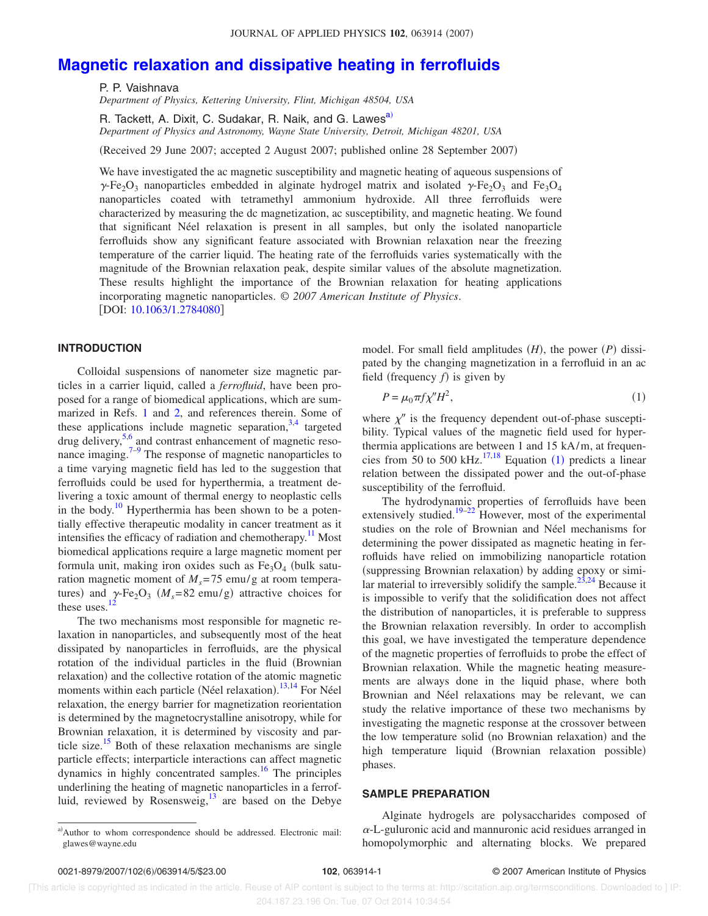# **Magnetic relaxation and dissipative heating in ferrofluids**

P. P. Vaishnava

*Department of Physics, Kettering University, Flint, Michigan 48504, USA*

R. Tackett, A. Dixit, C. Sudakar, R. Naik, and G. Lawes<sup>a)</sup> *Department of Physics and Astronomy, Wayne State University, Detroit, Michigan 48201, USA*

Received 29 June 2007; accepted 2 August 2007; published online 28 September 2007-

We have investigated the ac magnetic susceptibility and magnetic heating of aqueous suspensions of  $\gamma$ -Fe<sub>2</sub>O<sub>3</sub> nanoparticles embedded in alginate hydrogel matrix and isolated  $\gamma$ -Fe<sub>2</sub>O<sub>3</sub> and Fe<sub>3</sub>O<sub>4</sub> nanoparticles coated with tetramethyl ammonium hydroxide. All three ferrofluids were characterized by measuring the dc magnetization, ac susceptibility, and magnetic heating. We found that significant Néel relaxation is present in all samples, but only the isolated nanoparticle ferrofluids show any significant feature associated with Brownian relaxation near the freezing temperature of the carrier liquid. The heating rate of the ferrofluids varies systematically with the magnitude of the Brownian relaxation peak, despite similar values of the absolute magnetization. These results highlight the importance of the Brownian relaxation for heating applications incorporating magnetic nanoparticles. © *2007 American Institute of Physics*. [DOI: 10.1063/1.2784080]

#### **INTRODUCTION**

Colloidal suspensions of nanometer size magnetic particles in a carrier liquid, called a *ferrofluid*, have been proposed for a range of biomedical applications, which are summarized in Refs. 1 and 2, and references therein. Some of these applications include magnetic separation,  $3,4$  targeted drug delivery,<sup>5,6</sup> and contrast enhancement of magnetic resonance imaging. $7-9$  The response of magnetic nanoparticles to a time varying magnetic field has led to the suggestion that ferrofluids could be used for hyperthermia, a treatment delivering a toxic amount of thermal energy to neoplastic cells in the body. $\frac{10}{10}$  Hyperthermia has been shown to be a potentially effective therapeutic modality in cancer treatment as it intensifies the efficacy of radiation and chemotherapy. $\frac{11}{11}$  Most biomedical applications require a large magnetic moment per formula unit, making iron oxides such as  $Fe<sub>3</sub>O<sub>4</sub>$  (bulk saturation magnetic moment of  $M_s$ =75 emu/g at room temperatures) and  $\gamma$ -Fe<sub>2</sub>O<sub>3</sub> ( $M_s$ =82 emu/g) attractive choices for these uses.<sup>12</sup>

The two mechanisms most responsible for magnetic relaxation in nanoparticles, and subsequently most of the heat dissipated by nanoparticles in ferrofluids, are the physical rotation of the individual particles in the fluid (Brownian relaxation) and the collective rotation of the atomic magnetic moments within each particle (Néel relaxation).<sup>13,14</sup> For Néel relaxation, the energy barrier for magnetization reorientation is determined by the magnetocrystalline anisotropy, while for Brownian relaxation, it is determined by viscosity and particle size.<sup>15</sup> Both of these relaxation mechanisms are single particle effects; interparticle interactions can affect magnetic dynamics in highly concentrated samples.<sup>16</sup> The principles underlining the heating of magnetic nanoparticles in a ferrofluid, reviewed by Rosensweig, $\frac{13}{13}$  are based on the Debye

model. For small field amplitudes  $(H)$ , the power  $(P)$  dissipated by the changing magnetization in a ferrofluid in an ac field (frequency  $f$ ) is given by

$$
P = \mu_0 \pi f \chi'' H^2,\tag{1}
$$

where  $\chi''$  is the frequency dependent out-of-phase susceptibility. Typical values of the magnetic field used for hyperthermia applications are between 1 and 15 kA/m, at frequencies from 50 to 500 kHz. $^{17,18}$  Equation (1) predicts a linear relation between the dissipated power and the out-of-phase susceptibility of the ferrofluid.

The hydrodynamic properties of ferrofluids have been extensively studied.<sup>19–22</sup> However, most of the experimental studies on the role of Brownian and Néel mechanisms for determining the power dissipated as magnetic heating in ferrofluids have relied on immobilizing nanoparticle rotation (suppressing Brownian relaxation) by adding epoxy or similar material to irreversibly solidify the sample.<sup>23,24</sup> Because it is impossible to verify that the solidification does not affect the distribution of nanoparticles, it is preferable to suppress the Brownian relaxation reversibly. In order to accomplish this goal, we have investigated the temperature dependence of the magnetic properties of ferrofluids to probe the effect of Brownian relaxation. While the magnetic heating measurements are always done in the liquid phase, where both Brownian and Néel relaxations may be relevant, we can study the relative importance of these two mechanisms by investigating the magnetic response at the crossover between the low temperature solid (no Brownian relaxation) and the high temperature liquid (Brownian relaxation possible) phases.

## **SAMPLE PREPARATION**

Alginate hydrogels are polysaccharides composed of  $\alpha$ -L-guluronic acid and mannuronic acid residues arranged in homopolymorphic and alternating blocks. We prepared

a)Author to whom correspondence should be addressed. Electronic mail: glawes@wayne.edu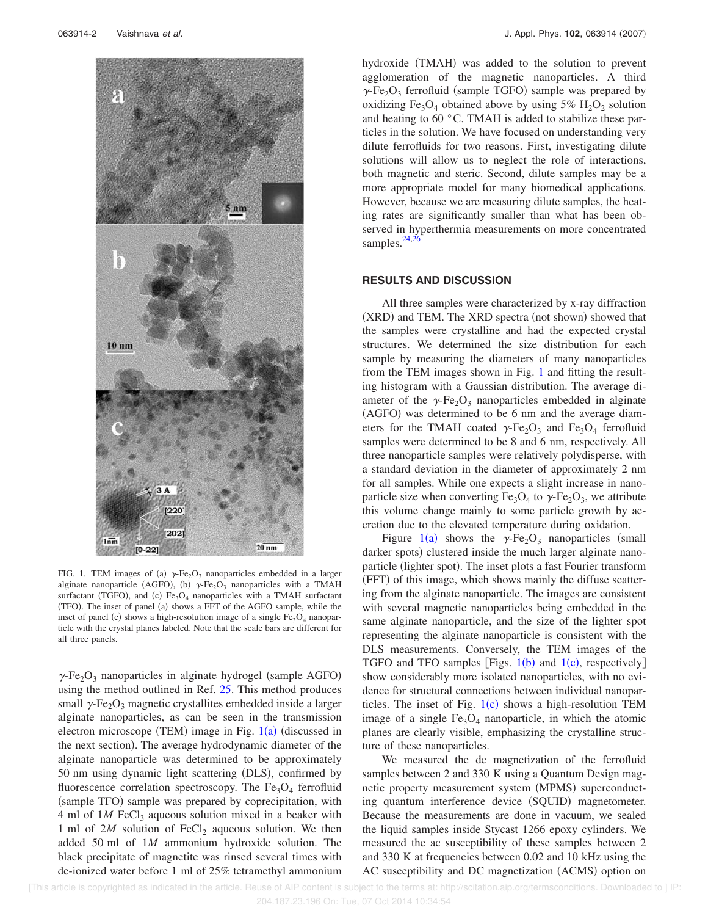

FIG. 1. TEM images of (a)  $\gamma$ -Fe<sub>2</sub>O<sub>3</sub> nanoparticles embedded in a larger alginate nanoparticle (AGFO), (b)  $\gamma$ -Fe<sub>2</sub>O<sub>3</sub> nanoparticles with a TMAH surfactant (TGFO), and (c) Fe<sub>3</sub>O<sub>4</sub> nanoparticles with a TMAH surfactant (TFO). The inset of panel (a) shows a FFT of the AGFO sample, while the inset of panel (c) shows a high-resolution image of a single  $Fe<sub>3</sub>O<sub>4</sub>$  nanoparticle with the crystal planes labeled. Note that the scale bars are different for all three panels.

 $\gamma$ -Fe<sub>2</sub>O<sub>3</sub> nanoparticles in alginate hydrogel (sample AGFO) using the method outlined in Ref. 25. This method produces small  $\gamma$ -Fe<sub>2</sub>O<sub>3</sub> magnetic crystallites embedded inside a larger alginate nanoparticles, as can be seen in the transmission electron microscope (TEM) image in Fig. 1(a) (discussed in the next section). The average hydrodynamic diameter of the alginate nanoparticle was determined to be approximately 50 nm using dynamic light scattering (DLS), confirmed by fluorescence correlation spectroscopy. The  $Fe<sub>3</sub>O<sub>4</sub>$  ferrofluid (sample TFO) sample was prepared by coprecipitation, with 4 ml of 1*M* FeCl<sub>3</sub> aqueous solution mixed in a beaker with 1 ml of  $2M$  solution of FeCl<sub>2</sub> aqueous solution. We then added 50 ml of 1*M* ammonium hydroxide solution. The black precipitate of magnetite was rinsed several times with de-ionized water before 1 ml of 25% tetramethyl ammonium

hydroxide (TMAH) was added to the solution to prevent agglomeration of the magnetic nanoparticles. A third  $\gamma$ -Fe<sub>2</sub>O<sub>3</sub> ferrofluid (sample TGFO) sample was prepared by oxidizing  $Fe<sub>3</sub>O<sub>4</sub>$  obtained above by using 5%  $H<sub>2</sub>O<sub>2</sub>$  solution and heating to 60 °C. TMAH is added to stabilize these particles in the solution. We have focused on understanding very dilute ferrofluids for two reasons. First, investigating dilute solutions will allow us to neglect the role of interactions, both magnetic and steric. Second, dilute samples may be a more appropriate model for many biomedical applications. However, because we are measuring dilute samples, the heating rates are significantly smaller than what has been observed in hyperthermia measurements on more concentrated samples. $^{24}$ ,

#### **RESULTS AND DISCUSSION**

All three samples were characterized by x-ray diffraction (XRD) and TEM. The XRD spectra (not shown) showed that the samples were crystalline and had the expected crystal structures. We determined the size distribution for each sample by measuring the diameters of many nanoparticles from the TEM images shown in Fig. 1 and fitting the resulting histogram with a Gaussian distribution. The average diameter of the  $\gamma$ -Fe<sub>2</sub>O<sub>3</sub> nanoparticles embedded in alginate (AGFO) was determined to be 6 nm and the average diameters for the TMAH coated  $\gamma$ -Fe<sub>2</sub>O<sub>3</sub> and Fe<sub>3</sub>O<sub>4</sub> ferrofluid samples were determined to be 8 and 6 nm, respectively. All three nanoparticle samples were relatively polydisperse, with a standard deviation in the diameter of approximately 2 nm for all samples. While one expects a slight increase in nanoparticle size when converting  $Fe<sub>3</sub>O<sub>4</sub>$  to  $\gamma$ -Fe<sub>2</sub>O<sub>3</sub>, we attribute this volume change mainly to some particle growth by accretion due to the elevated temperature during oxidation.

Figure 1(a) shows the  $\gamma$ -Fe<sub>2</sub>O<sub>3</sub> nanoparticles (small darker spots) clustered inside the much larger alginate nanoparticle (lighter spot). The inset plots a fast Fourier transform (FFT) of this image, which shows mainly the diffuse scattering from the alginate nanoparticle. The images are consistent with several magnetic nanoparticles being embedded in the same alginate nanoparticle, and the size of the lighter spot representing the alginate nanoparticle is consistent with the DLS measurements. Conversely, the TEM images of the TGFO and TFO samples [Figs.  $1(b)$  and  $1(c)$ , respectively] show considerably more isolated nanoparticles, with no evidence for structural connections between individual nanoparticles. The inset of Fig.  $1(c)$  shows a high-resolution TEM image of a single  $Fe<sub>3</sub>O<sub>4</sub>$  nanoparticle, in which the atomic planes are clearly visible, emphasizing the crystalline structure of these nanoparticles.

We measured the dc magnetization of the ferrofluid samples between 2 and 330 K using a Quantum Design magnetic property measurement system (MPMS) superconducting quantum interference device (SQUID) magnetometer. Because the measurements are done in vacuum, we sealed the liquid samples inside Stycast 1266 epoxy cylinders. We measured the ac susceptibility of these samples between 2 and 330 K at frequencies between 0.02 and 10 kHz using the AC susceptibility and DC magnetization (ACMS) option on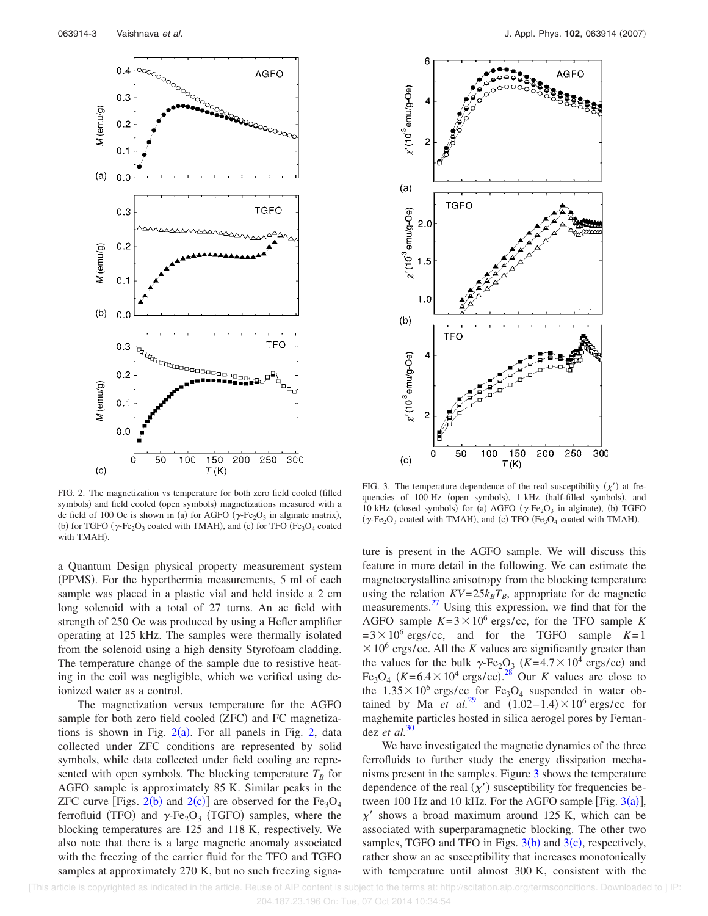

FIG. 2. The magnetization vs temperature for both zero field cooled (filled symbols) and field cooled (open symbols) magnetizations measured with a dc field of 100 Oe is shown in (a) for AGFO ( $\gamma$ -Fe<sub>2</sub>O<sub>3</sub> in alginate matrix), (b) for TGFO ( $\gamma$ -Fe<sub>2</sub>O<sub>3</sub> coated with TMAH), and (c) for TFO (Fe<sub>3</sub>O<sub>4</sub> coated with TMAH).

a Quantum Design physical property measurement system (PPMS). For the hyperthermia measurements, 5 ml of each sample was placed in a plastic vial and held inside a 2 cm long solenoid with a total of 27 turns. An ac field with strength of 250 Oe was produced by using a Hefler amplifier operating at 125 kHz. The samples were thermally isolated from the solenoid using a high density Styrofoam cladding. The temperature change of the sample due to resistive heating in the coil was negligible, which we verified using deionized water as a control.

The magnetization versus temperature for the AGFO sample for both zero field cooled (ZFC) and FC magnetizations is shown in Fig.  $2(a)$ . For all panels in Fig. 2, data collected under ZFC conditions are represented by solid symbols, while data collected under field cooling are represented with open symbols. The blocking temperature  $T_B$  for AGFO sample is approximately 85 K. Similar peaks in the ZFC curve [Figs.  $2(b)$  and  $2(c)$ ] are observed for the Fe<sub>3</sub>O<sub>4</sub> ferrofluid (TFO) and  $\gamma$ -Fe<sub>2</sub>O<sub>3</sub> (TGFO) samples, where the blocking temperatures are 125 and 118 K, respectively. We also note that there is a large magnetic anomaly associated with the freezing of the carrier fluid for the TFO and TGFO samples at approximately 270 K, but no such freezing signa-



FIG. 3. The temperature dependence of the real susceptibility  $(\chi')$  at frequencies of 100 Hz (open symbols), 1 kHz (half-filled symbols), and 10 kHz (closed symbols) for (a) AGFO ( $\gamma$ -Fe<sub>2</sub>O<sub>3</sub> in alginate), (b) TGFO ( $\gamma$ -Fe<sub>2</sub>O<sub>3</sub> coated with TMAH), and (c) TFO (Fe<sub>3</sub>O<sub>4</sub> coated with TMAH).

ture is present in the AGFO sample. We will discuss this feature in more detail in the following. We can estimate the magnetocrystalline anisotropy from the blocking temperature using the relation  $KV=25k_BT_B$ , appropriate for dc magnetic measurements. $27$  Using this expression, we find that for the AGFO sample  $K=3\times10^6$  ergs/cc, for the TFO sample *K*  $=3\times10^6$  ergs/cc, and for the TGFO sample  $K=1$  $\times$  10<sup>6</sup> ergs/cc. All the *K* values are significantly greater than the values for the bulk  $\gamma$ -Fe<sub>2</sub>O<sub>3</sub> (K=4.7 × 10<sup>4</sup> ergs/cc) and Fe<sub>3</sub>O<sub>4</sub> ( $K=6.4\times10^4$  ergs/cc).<sup>28</sup> Our *K* values are close to the  $1.35 \times 10^6$  ergs/cc for Fe<sub>3</sub>O<sub>4</sub> suspended in water obtained by Ma *et al.*<sup>29</sup> and  $(1.02-1.4) \times 10^6$  ergs/cc for maghemite particles hosted in silica aerogel pores by Fernandez *et al.*<sup>30</sup>

We have investigated the magnetic dynamics of the three ferrofluids to further study the energy dissipation mechanisms present in the samples. Figure 3 shows the temperature dependence of the real  $(\chi')$  susceptibility for frequencies between 100 Hz and 10 kHz. For the AGFO sample [Fig.  $3(a)$ ],  $\chi'$  shows a broad maximum around 125 K, which can be associated with superparamagnetic blocking. The other two samples, TGFO and TFO in Figs.  $3(b)$  and  $3(c)$ , respectively, rather show an ac susceptibility that increases monotonically with temperature until almost 300 K, consistent with the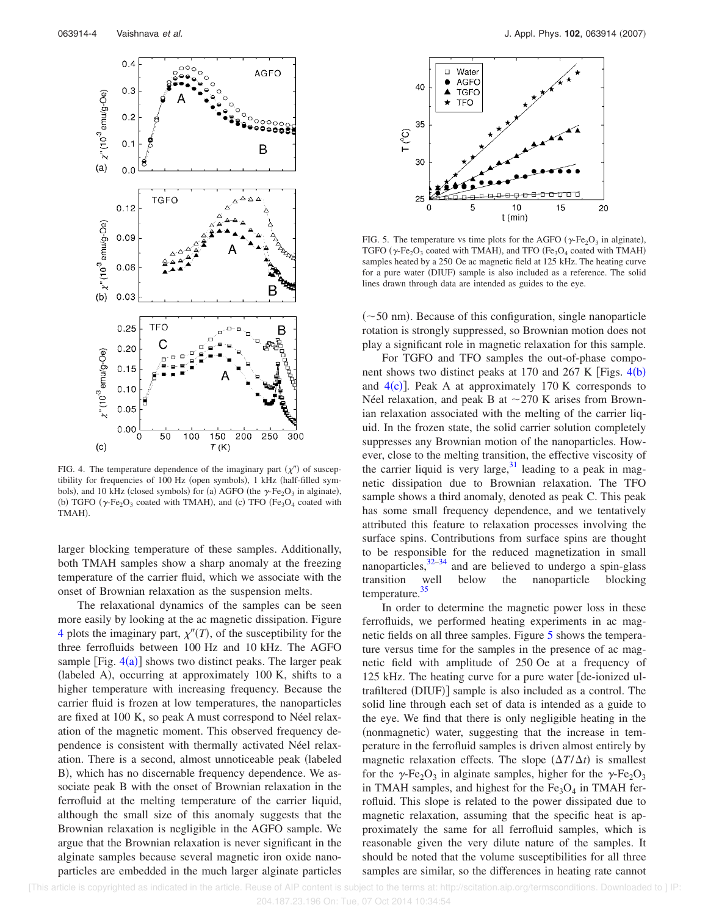

FIG. 4. The temperature dependence of the imaginary part  $(\chi'')$  of susceptibility for frequencies of 100 Hz (open symbols), 1 kHz (half-filled symbols), and 10 kHz (closed symbols) for (a) AGFO (the  $\gamma$ -Fe<sub>2</sub>O<sub>3</sub> in alginate), (b) TGFO ( $\gamma$ -Fe<sub>2</sub>O<sub>3</sub> coated with TMAH), and (c) TFO (Fe<sub>3</sub>O<sub>4</sub> coated with TMAH).

larger blocking temperature of these samples. Additionally, both TMAH samples show a sharp anomaly at the freezing temperature of the carrier fluid, which we associate with the onset of Brownian relaxation as the suspension melts.

The relaxational dynamics of the samples can be seen more easily by looking at the ac magnetic dissipation. Figure 4 plots the imaginary part,  $\chi''(T)$ , of the susceptibility for the three ferrofluids between 100 Hz and 10 kHz. The AGFO sample  $[Fig. 4(a)]$  shows two distinct peaks. The larger peak (labeled A), occurring at approximately 100 K, shifts to a higher temperature with increasing frequency. Because the carrier fluid is frozen at low temperatures, the nanoparticles are fixed at 100 K, so peak A must correspond to Néel relaxation of the magnetic moment. This observed frequency dependence is consistent with thermally activated Néel relaxation. There is a second, almost unnoticeable peak labeled B), which has no discernable frequency dependence. We associate peak B with the onset of Brownian relaxation in the ferrofluid at the melting temperature of the carrier liquid, although the small size of this anomaly suggests that the Brownian relaxation is negligible in the AGFO sample. We argue that the Brownian relaxation is never significant in the alginate samples because several magnetic iron oxide nanoparticles are embedded in the much larger alginate particles



FIG. 5. The temperature vs time plots for the AGFO ( $\gamma$ -Fe<sub>2</sub>O<sub>3</sub> in alginate), TGFO ( $\gamma$ -Fe<sub>2</sub>O<sub>3</sub> coated with TMAH), and TFO (Fe<sub>3</sub>O<sub>4</sub> coated with TMAH) samples heated by a 250 Oe ac magnetic field at 125 kHz. The heating curve for a pure water (DIUF) sample is also included as a reference. The solid lines drawn through data are intended as guides to the eye.

 $(\sim 50$  nm). Because of this configuration, single nanoparticle rotation is strongly suppressed, so Brownian motion does not play a significant role in magnetic relaxation for this sample.

For TGFO and TFO samples the out-of-phase component shows two distinct peaks at 170 and 267 K [Figs.  $4(b)$ ] and  $4(c)$ ]. Peak A at approximately 170 K corresponds to Néel relaxation, and peak B at  $\sim$  270 K arises from Brownian relaxation associated with the melting of the carrier liquid. In the frozen state, the solid carrier solution completely suppresses any Brownian motion of the nanoparticles. However, close to the melting transition, the effective viscosity of the carrier liquid is very large,  $31$  leading to a peak in magnetic dissipation due to Brownian relaxation. The TFO sample shows a third anomaly, denoted as peak C. This peak has some small frequency dependence, and we tentatively attributed this feature to relaxation processes involving the surface spins. Contributions from surface spins are thought to be responsible for the reduced magnetization in small nanoparticles, $32-34$  and are believed to undergo a spin-glass transition well below the nanoparticle blocking temperature.<sup>35</sup>

In order to determine the magnetic power loss in these ferrofluids, we performed heating experiments in ac magnetic fields on all three samples. Figure 5 shows the temperature versus time for the samples in the presence of ac magnetic field with amplitude of 250 Oe at a frequency of 125 kHz. The heating curve for a pure water  $\det$  de-ionized ultrafiltered (DIUF)] sample is also included as a control. The solid line through each set of data is intended as a guide to the eye. We find that there is only negligible heating in the (nonmagnetic) water, suggesting that the increase in temperature in the ferrofluid samples is driven almost entirely by magnetic relaxation effects. The slope  $(\Delta T/\Delta t)$  is smallest for the  $\gamma$ -Fe<sub>2</sub>O<sub>3</sub> in alginate samples, higher for the  $\gamma$ -Fe<sub>2</sub>O<sub>3</sub> in TMAH samples, and highest for the  $Fe<sub>3</sub>O<sub>4</sub>$  in TMAH ferrofluid. This slope is related to the power dissipated due to magnetic relaxation, assuming that the specific heat is approximately the same for all ferrofluid samples, which is reasonable given the very dilute nature of the samples. It should be noted that the volume susceptibilities for all three samples are similar, so the differences in heating rate cannot